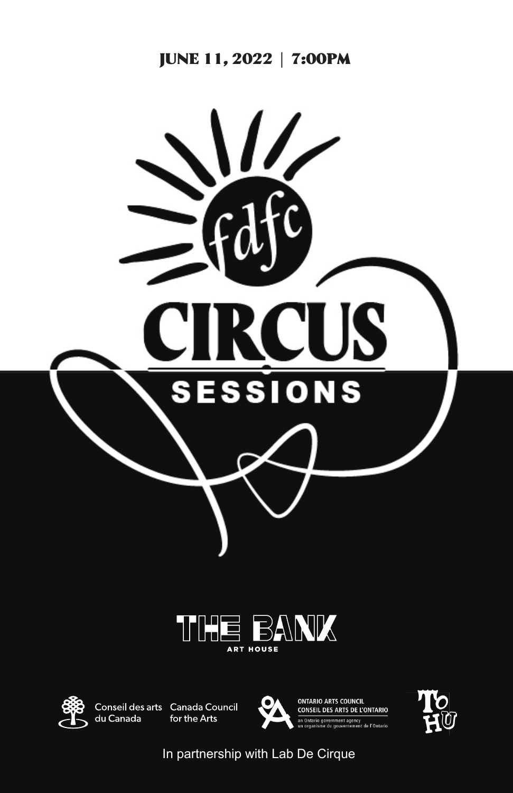





du Canada

Conseil des arts Canada Council for the Arts



**ONTARIO ARTS COUNCIL CONSEIL DES ARTS DE L'ONTARIO** 



In partnership with Lab De Cirque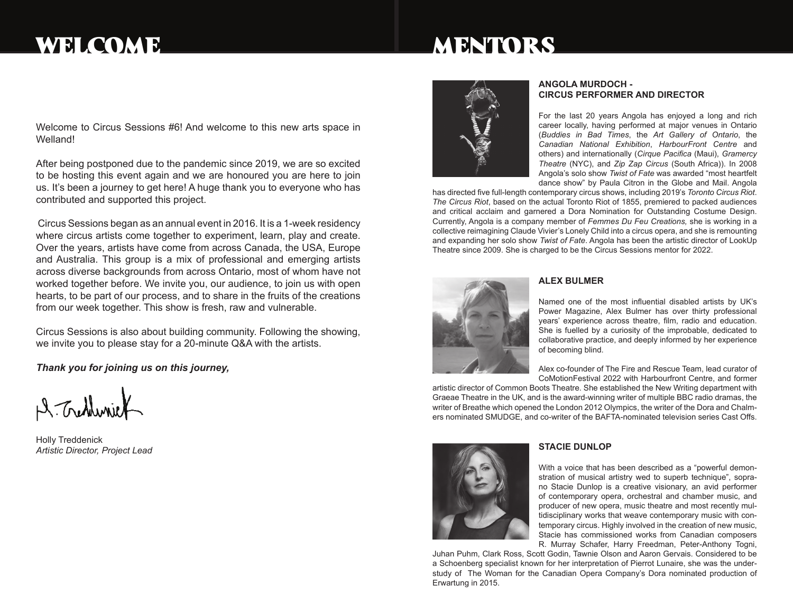# WELCOME

# MENTORS

Welcome to Circus Sessions #6! And welcome to this new arts space in Welland!

After being postponed due to the pandemic since 2019, we are so excited to be hosting this event again and we are honoured you are here to join us. It's been a journey to get here! A huge thank you to everyone who has contributed and supported this project.

 Circus Sessions began as an annual event in 2016. It is a 1-week residency where circus artists come together to experiment, learn, play and create. Over the years, artists have come from across Canada, the USA, Europe and Australia. This group is a mix of professional and emerging artists across diverse backgrounds from across Ontario, most of whom have not worked together before. We invite you, our audience, to join us with open hearts, to be part of our process, and to share in the fruits of the creations from our week together. This show is fresh, raw and vulnerable.

Circus Sessions is also about building community. Following the showing, we invite you to please stay for a 20-minute Q&A with the artists.

*Thank you for joining us on this journey,*

A. Tretheri

Holly Treddenick *Artistic Director, Project Lead*



#### **Angola Murdoch - Circus Performer and Director**

For the last 20 years Angola has enjoyed a long and rich career locally, having performed at major venues in Ontario (*Buddies in Bad Times*, the *Art Gallery of Ontario*, the *Canadian National Exhibition*, *HarbourFront Centre* and others) and internationally (*Cirque Pacifica* (Maui), *Gramercy Theatre* (NYC), and *Zip Zap Circus* (South Africa)). In 2008 Angola's solo show *Twist of Fate* was awarded "most heartfelt dance show" by Paula Citron in the Globe and Mail. Angola

has directed five full-length contemporary circus shows, including 2019's *Toronto Circus Riot*. *The Circus Riot*, based on the actual Toronto Riot of 1855, premiered to packed audiences and critical acclaim and garnered a Dora Nomination for Outstanding Costume Design. Currently, Angola is a company member of *Femmes Du Feu Creations,* she is working in a collective reimagining Claude Vivier's Lonely Child into a circus opera, and she is remounting and expanding her solo show *Twist of Fate*. Angola has been the artistic director of LookUp Theatre since 2009. She is charged to be the Circus Sessions mentor for 2022.



#### **Alex bulmer**

Named one of the most influential disabled artists by UK's Power Magazine, Alex Bulmer has over thirty professional years' experience across theatre, film, radio and education. She is fuelled by a curiosity of the improbable, dedicated to collaborative practice, and deeply informed by her experience of becoming blind.

Alex co-founder of The Fire and Rescue Team, lead curator of CoMotionFestival 2022 with Harbourfront Centre, and former

artistic director of Common Boots Theatre. She established the New Writing department with Graeae Theatre in the UK, and is the award-winning writer of multiple BBC radio dramas, the writer of Breathe which opened the London 2012 Olympics, the writer of the Dora and Chalmers nominated SMUDGE, and co-writer of the BAFTA-nominated television series Cast Offs.



#### **STACIE DUNLOP**

With a voice that has been described as a "powerful demonstration of musical artistry wed to superb technique", soprano Stacie Dunlop is a creative visionary, an avid performer of contemporary opera, orchestral and chamber music, and producer of new opera, music theatre and most recently multidisciplinary works that weave contemporary music with contemporary circus. Highly involved in the creation of new music, Stacie has commissioned works from Canadian composers R. Murray Schafer, Harry Freedman, Peter-Anthony Togni,

Juhan Puhm, Clark Ross, Scott Godin, Tawnie Olson and Aaron Gervais. Considered to be a Schoenberg specialist known for her interpretation of Pierrot Lunaire, she was the understudy of The Woman for the Canadian Opera Company's Dora nominated production of Erwartung in 2015.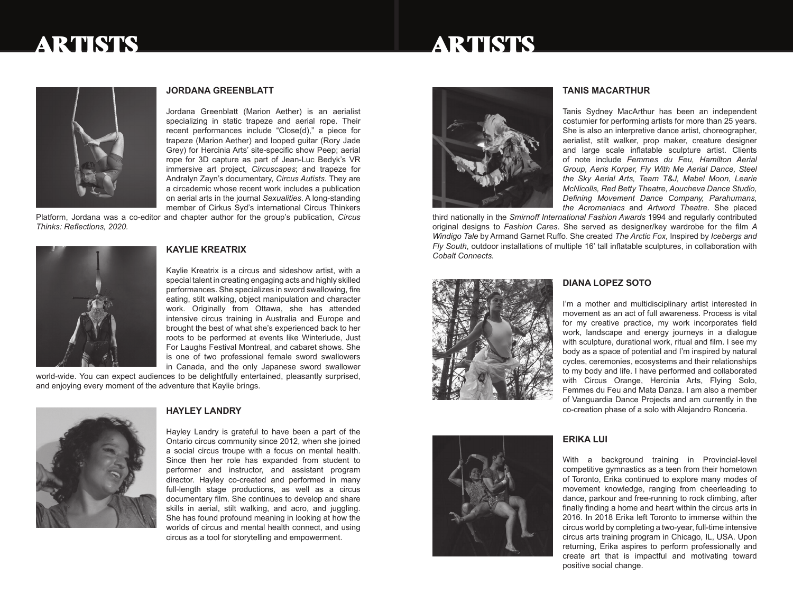### ARTISTS

### ARTISTS



#### **JORDANA GREENBLATT**

Jordana Greenblatt (Marion Aether) is an aerialist specializing in static trapeze and aerial rope. Their recent performances include "Close(d)," a piece for trapeze (Marion Aether) and looped guitar (Rory Jade Grey) for Hercinia Arts' site-specific show Peep; aerial rope for 3D capture as part of Jean-Luc Bedyk's VR immersive art project, *Circuscapes*; and trapeze for Andralyn Zayn's documentary, *Circus Autists*. They are a circademic whose recent work includes a publication on aerial arts in the journal *Sexualities*. A long-standing member of Cirkus Syd's international Circus Thinkers

Platform, Jordana was a co-editor and chapter author for the group's publication, *Circus Thinks: Reflections, 2020.*



#### **KAYLIE KREATRIX**

Kaylie Kreatrix is a circus and sideshow artist, with a special talent in creating engaging acts and highly skilled performances. She specializes in sword swallowing, fire eating, stilt walking, object manipulation and character work. Originally from Ottawa, she has attended intensive circus training in Australia and Europe and brought the best of what she's experienced back to her roots to be performed at events like Winterlude, Just For Laughs Festival Montreal, and cabaret shows. She is one of two professional female sword swallowers in Canada, and the only Japanese sword swallower

world-wide. You can expect audiences to be delightfully entertained, pleasantly surprised, and enjoying every moment of the adventure that Kaylie brings.



#### **HAYLEY LANDRY**

Hayley Landry is grateful to have been a part of the Ontario circus community since 2012, when she joined a social circus troupe with a focus on mental health. Since then her role has expanded from student to performer and instructor, and assistant program director. Hayley co-created and performed in many full-length stage productions, as well as a circus documentary film. She continues to develop and share skills in aerial, stilt walking, and acro, and juggling. She has found profound meaning in looking at how the worlds of circus and mental health connect, and using circus as a tool for storytelling and empowerment.



#### **TANIS MACARTHUR**

Tanis Sydney MacArthur has been an independent costumier for performing artists for more than 25 years. She is also an interpretive dance artist, choreographer, aerialist, stilt walker, prop maker, creature designer and large scale inflatable sculpture artist. Clients of note include *Femmes du Feu, Hamilton Aerial Group, Aeris Korper, Fly With Me Aerial Dance, Steel the Sky Aerial Arts, Team T&J, Mabel Moon, Learie McNicolls, Red Betty Theatre, Aoucheva Dance Studio, Defining Movement Dance Company, Parahumans, the Acromaniacs* and *Artword Theatre*. She placed

third nationally in the *Smirnoff International Fashion Awards* 1994 and regularly contributed original designs to *Fashion Cares*. She served as designer/key wardrobe for the film *A Windigo Tale* by Armand Garnet Ruffo. She created *The Arctic Fox,* Inspired by *Icebergs and Fly South*, outdoor installations of multiple 16' tall inflatable sculptures, in collaboration with *Cobalt Connects.*



#### **DIANA LOPEZ SOTO**

I'm a mother and multidisciplinary artist interested in movement as an act of full awareness. Process is vital for my creative practice, my work incorporates field work, landscape and energy journeys in a dialogue with sculpture, durational work, ritual and film. I see my body as a space of potential and I'm inspired by natural cycles, ceremonies, ecosystems and their relationships to my body and life. I have performed and collaborated with Circus Orange, Hercinia Arts, Flying Solo, Femmes du Feu and Mata Danza. I am also a member of Vanguardia Dance Projects and am currently in the co-creation phase of a solo with Alejandro Ronceria.



#### **ERIKA LUI**

With a background training in Provincial-level competitive gymnastics as a teen from their hometown of Toronto, Erika continued to explore many modes of movement knowledge, ranging from cheerleading to dance, parkour and free-running to rock climbing, after finally finding a home and heart within the circus arts in 2016. In 2018 Erika left Toronto to immerse within the circus world by completing a two-year, full-time intensive circus arts training program in Chicago, IL, USA. Upon returning, Erika aspires to perform professionally and create art that is impactful and motivating toward positive social change.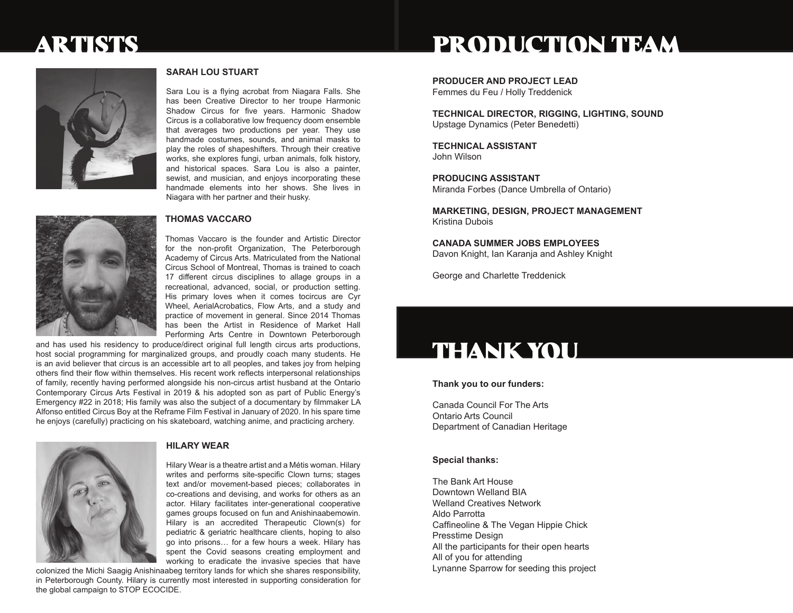## ARTISTS

#### **SARAH LOU STUART**

Sara Lou is a flying acrobat from Niagara Falls. She has been Creative Director to her troupe Harmonic Shadow Circus for five years. Harmonic Shadow Circus is a collaborative low frequency doom ensemble that averages two productions per year. They use handmade costumes, sounds, and animal masks to play the roles of shapeshifters. Through their creative works, she explores fungi, urban animals, folk history, and historical spaces. Sara Lou is also a painter, sewist, and musician, and enjoys incorporating these handmade elements into her shows. She lives in Niagara with her partner and their husky.



#### **Thomas Vaccaro**

Thomas Vaccaro is the founder and Artistic Director for the non-profit Organization, The Peterborough Academy of Circus Arts. Matriculated from the National Circus School of Montreal, Thomas is trained to coach 17 different circus disciplines to allage groups in a recreational, advanced, social, or production setting. His primary loves when it comes tocircus are Cyr Wheel, AerialAcrobatics, Flow Arts, and a study and practice of movement in general. Since 2014 Thomas has been the Artist in Residence of Market Hall Performing Arts Centre in Downtown Peterborough

and has used his residency to produce/direct original full length circus arts productions, host social programming for marginalized groups, and proudly coach many students. He is an avid believer that circus is an accessible art to all peoples, and takes joy from helping others find their flow within themselves. His recent work reflects interpersonal relationships of family, recently having performed alongside his non-circus artist husband at the Ontario Contemporary Circus Arts Festival in 2019 & his adopted son as part of Public Energy's Emergency #22 in 2018; His family was also the subject of a documentary by filmmaker LA Alfonso entitled Circus Boy at the Reframe Film Festival in January of 2020. In his spare time he enjoys (carefully) practicing on his skateboard, watching anime, and practicing archery.



### **HILARY WEAR**

Hilary Wear is a theatre artist and a Métis woman. Hilary writes and performs site-specific Clown turns; stages text and/or movement-based pieces; collaborates in co-creations and devising, and works for others as an actor. Hilary facilitates inter-generational cooperative games groups focused on fun and Anishinaabemowin. Hilary is an accredited Therapeutic Clown(s) for pediatric & geriatric healthcare clients, hoping to also go into prisons… for a few hours a week. Hilary has spent the Covid seasons creating employment and working to eradicate the invasive species that have

colonized the Michi Saagig Anishinaabeg territory lands for which she shares responsibility, in Peterborough County. Hilary is currently most interested in supporting consideration for the global campaign to STOP ECOCIDE.

# PRODUCTION TEAM

**PRODUCER AND PROJECT LEAD**

Femmes du Feu / Holly Treddenick

**Technical Director, Rigging, Lighting, Sound** Upstage Dynamics (Peter Benedetti)

**Technical Assistant** John Wilson

**Producing assistant** Miranda Forbes (Dance Umbrella of Ontario)

**Marketing, design, project management** Kristina Dubois

**Canada Summer Jobs employees** Davon Knight, Ian Karanja and Ashley Knight

George and Charlette Treddenick

# THANK YOU

**Thank you to our funders:**

Canada Council For The Arts Ontario Arts Council Department of Canadian Heritage

#### **Special thanks:**

The Bank Art House Downtown Welland BIA Welland Creatives Network Aldo Parrotta Caffineoline & The Vegan Hippie Chick Presstime Design All the participants for their open hearts All of you for attending Lynanne Sparrow for seeding this project